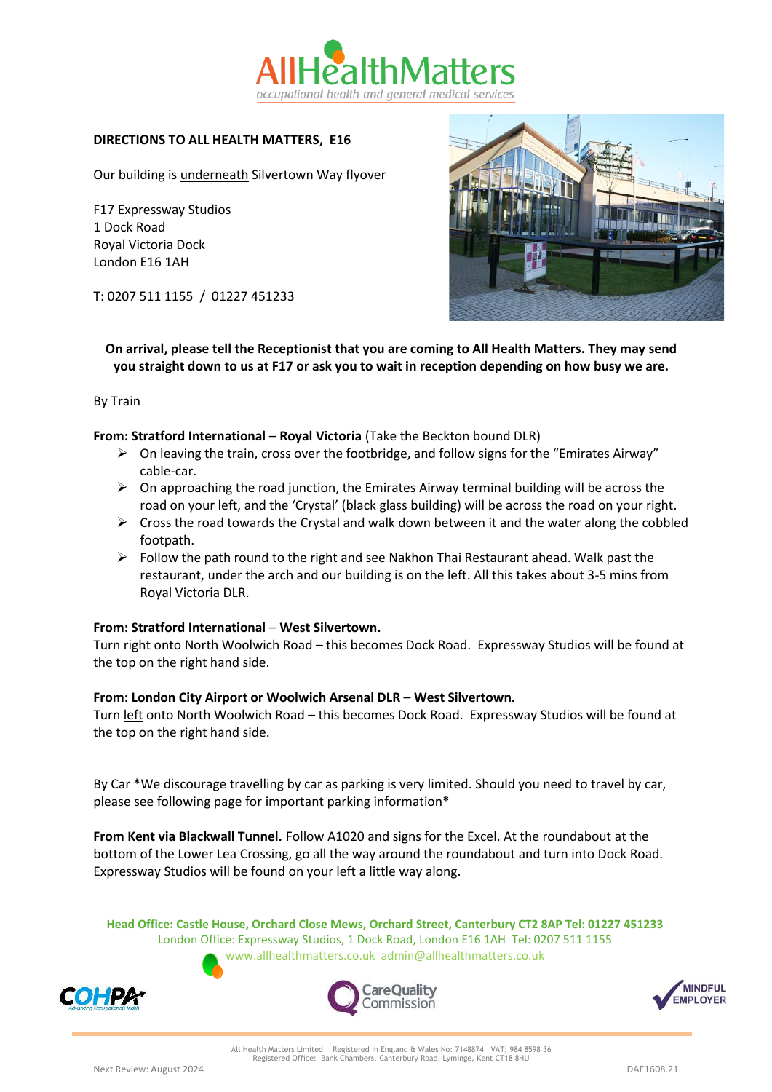

# **DIRECTIONS TO ALL HEALTH MATTERS, E16**

Our building is underneath Silvertown Way flyover

F17 Expressway Studios 1 Dock Road Royal Victoria Dock London E16 1AH

T: 0207 511 1155 / 01227 451233



**On arrival, please tell the Receptionist that you are coming to All Health Matters. They may send you straight down to us at F17 or ask you to wait in reception depending on how busy we are.**

### By Train

### **From: Stratford International** – **Royal Victoria** (Take the Beckton bound DLR)

- $\triangleright$  On leaving the train, cross over the footbridge, and follow signs for the "Emirates Airway" cable-car.
- $\triangleright$  On approaching the road junction, the Emirates Airway terminal building will be across the road on your left, and the 'Crystal' (black glass building) will be across the road on your right.
- $\triangleright$  Cross the road towards the Crystal and walk down between it and the water along the cobbled footpath.
- $\triangleright$  Follow the path round to the right and see Nakhon Thai Restaurant ahead. Walk past the restaurant, under the arch and our building is on the left. All this takes about 3-5 mins from Royal Victoria DLR.

#### **From: Stratford International** – **West Silvertown.**

Turn right onto North Woolwich Road – this becomes Dock Road. Expressway Studios will be found at the top on the right hand side.

#### **From: London City Airport or Woolwich Arsenal DLR** – **West Silvertown.**

Turn left onto North Woolwich Road - this becomes Dock Road. Expressway Studios will be found at the top on the right hand side.

By Car \*We discourage travelling by car as parking is very limited. Should you need to travel by car, please see following page for important parking information\*

**From Kent via Blackwall Tunnel.** Follow A1020 and signs for the Excel. At the roundabout at the bottom of the Lower Lea Crossing, go all the way around the roundabout and turn into Dock Road. Expressway Studios will be found on your left a little way along.

**Head Office: Castle House, Orchard Close Mews, Orchard Street, Canterbury CT2 8AP Tel: 01227 451233** London Office: Expressway Studios, 1 Dock Road, London E16 1AH Tel: 0207 511 1155 [www.allhealthmatters.co.uk](http://www.allhealthmatters.co.uk/) [admin@allhealthmatters.co.uk](mailto:admin@allhealthmatters.co.uk)